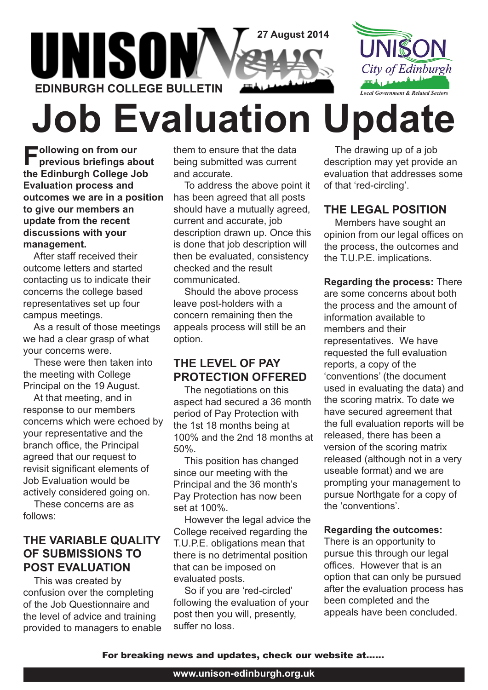

# **Job Evaluation Update**

**Following on from our previous briefings about the Edinburgh College Job Evaluation process and outcomes we are in a position to give our members an update from the recent discussions with your management.**

After staff received their outcome letters and started contacting us to indicate their concerns the college based representatives set up four campus meetings.

As a result of those meetings we had a clear grasp of what your concerns were.

These were then taken into the meeting with College Principal on the 19 August.

At that meeting, and in response to our members concerns which were echoed by your representative and the branch office, the Principal agreed that our request to revisit significant elements of Job Evaluation would be actively considered going on.

These concerns are as follows:

## **THE VARIABLE QUALITY OF SUBMISSIONS TO POST EVALUATION**

This was created by confusion over the completing of the Job Questionnaire and the level of advice and training provided to managers to enable them to ensure that the data being submitted was current and accurate.

To address the above point it has been agreed that all posts should have a mutually agreed, current and accurate, job description drawn up. Once this is done that job description will then be evaluated, consistency checked and the result communicated.

Should the above process leave post-holders with a concern remaining then the appeals process will still be an option.

## **THE LEVEL OF PAY PROTECTION OFFERED**

The negotiations on this aspect had secured a 36 month period of Pay Protection with the 1st 18 months being at 100% and the 2nd 18 months at 50%.

This position has changed since our meeting with the Principal and the 36 month's Pay Protection has now been set at 100%.

However the legal advice the College received regarding the T.U.P.E. obligations mean that there is no detrimental position that can be imposed on evaluated posts.

So if you are 'red-circled' following the evaluation of your post then you will, presently, suffer no loss.

The drawing up of a job description may yet provide an evaluation that addresses some of that 'red-circling'.

## **THE LEGAL POSITION**

Members have sought an opinion from our legal offices on the process, the outcomes and the T.U.P.E. implications.

**Regarding the process:** There are some concerns about both the process and the amount of information available to members and their representatives. We have requested the full evaluation reports, a copy of the 'conventions' (the document used in evaluating the data) and the scoring matrix. To date we have secured agreement that the full evaluation reports will be released, there has been a version of the scoring matrix released (although not in a very useable format) and we are prompting your management to pursue Northgate for a copy of the 'conventions'.

#### **Regarding the outcomes:**

There is an opportunity to pursue this through our legal offices. However that is an option that can only be pursued after the evaluation process has been completed and the appeals have been concluded.

For breaking news and updates, check our website at......